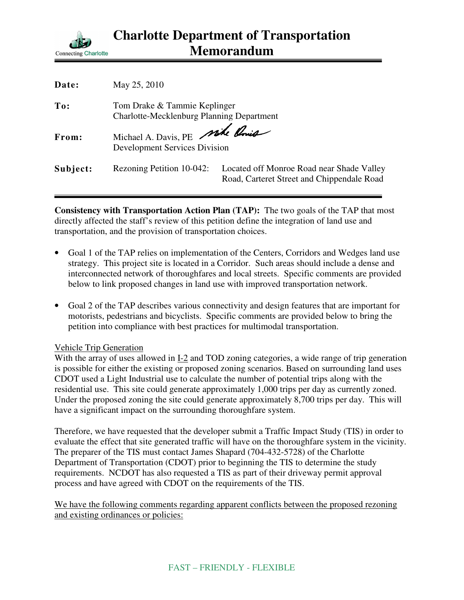

| Date:    | May 25, 2010                                                                     |                                                                                         |
|----------|----------------------------------------------------------------------------------|-----------------------------------------------------------------------------------------|
| To:      | Tom Drake & Tammie Keplinger<br><b>Charlotte-Mecklenburg Planning Department</b> |                                                                                         |
| From:    | Michael A. Davis, PE mile Point<br><b>Development Services Division</b>          |                                                                                         |
| Subject: | Rezoning Petition 10-042:                                                        | Located off Monroe Road near Shade Valley<br>Road, Carteret Street and Chippendale Road |

**Consistency with Transportation Action Plan (TAP):** The two goals of the TAP that most directly affected the staff's review of this petition define the integration of land use and transportation, and the provision of transportation choices.

- Goal 1 of the TAP relies on implementation of the Centers, Corridors and Wedges land use strategy. This project site is located in a Corridor. Such areas should include a dense and interconnected network of thoroughfares and local streets. Specific comments are provided below to link proposed changes in land use with improved transportation network.
- Goal 2 of the TAP describes various connectivity and design features that are important for motorists, pedestrians and bicyclists. Specific comments are provided below to bring the petition into compliance with best practices for multimodal transportation.

## Vehicle Trip Generation

With the array of uses allowed in I-2 and TOD zoning categories, a wide range of trip generation is possible for either the existing or proposed zoning scenarios. Based on surrounding land uses CDOT used a Light Industrial use to calculate the number of potential trips along with the residential use. This site could generate approximately 1,000 trips per day as currently zoned. Under the proposed zoning the site could generate approximately 8,700 trips per day. This will have a significant impact on the surrounding thoroughfare system.

Therefore, we have requested that the developer submit a Traffic Impact Study (TIS) in order to evaluate the effect that site generated traffic will have on the thoroughfare system in the vicinity. The preparer of the TIS must contact James Shapard (704-432-5728) of the Charlotte Department of Transportation (CDOT) prior to beginning the TIS to determine the study requirements. NCDOT has also requested a TIS as part of their driveway permit approval process and have agreed with CDOT on the requirements of the TIS.

We have the following comments regarding apparent conflicts between the proposed rezoning and existing ordinances or policies: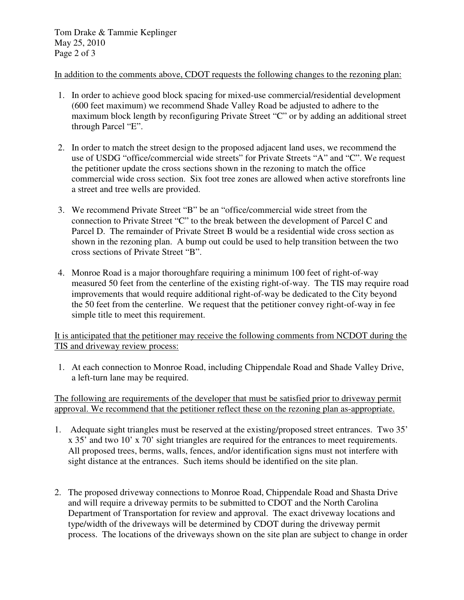Tom Drake & Tammie Keplinger May 25, 2010 Page 2 of 3

In addition to the comments above, CDOT requests the following changes to the rezoning plan:

- 1. In order to achieve good block spacing for mixed-use commercial/residential development (600 feet maximum) we recommend Shade Valley Road be adjusted to adhere to the maximum block length by reconfiguring Private Street "C" or by adding an additional street through Parcel "E".
- 2. In order to match the street design to the proposed adjacent land uses, we recommend the use of USDG "office/commercial wide streets" for Private Streets "A" and "C". We request the petitioner update the cross sections shown in the rezoning to match the office commercial wide cross section. Six foot tree zones are allowed when active storefronts line a street and tree wells are provided.
- 3. We recommend Private Street "B" be an "office/commercial wide street from the connection to Private Street "C" to the break between the development of Parcel C and Parcel D. The remainder of Private Street B would be a residential wide cross section as shown in the rezoning plan. A bump out could be used to help transition between the two cross sections of Private Street "B".
- 4. Monroe Road is a major thoroughfare requiring a minimum 100 feet of right-of-way measured 50 feet from the centerline of the existing right-of-way. The TIS may require road improvements that would require additional right-of-way be dedicated to the City beyond the 50 feet from the centerline. We request that the petitioner convey right-of-way in fee simple title to meet this requirement.

It is anticipated that the petitioner may receive the following comments from NCDOT during the TIS and driveway review process:

1. At each connection to Monroe Road, including Chippendale Road and Shade Valley Drive, a left-turn lane may be required.

The following are requirements of the developer that must be satisfied prior to driveway permit approval. We recommend that the petitioner reflect these on the rezoning plan as-appropriate.

- 1. Adequate sight triangles must be reserved at the existing/proposed street entrances. Two 35' x 35' and two 10' x 70' sight triangles are required for the entrances to meet requirements. All proposed trees, berms, walls, fences, and/or identification signs must not interfere with sight distance at the entrances. Such items should be identified on the site plan.
- 2. The proposed driveway connections to Monroe Road, Chippendale Road and Shasta Drive and will require a driveway permits to be submitted to CDOT and the North Carolina Department of Transportation for review and approval. The exact driveway locations and type/width of the driveways will be determined by CDOT during the driveway permit process. The locations of the driveways shown on the site plan are subject to change in order